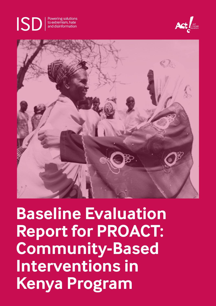

Powering solutions to extremism, hate and disinformation





**Baseline Evaluation Report for PROACT: Community-Based Interventions in Kenya Program**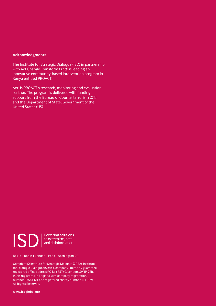#### **Acknowledgments**

The Institute for Strategic Dialogue (ISD) in partnership with Act Change Transform (Act!) is leading an innovative community-based intervention program in Kenya entitled PROACT.

Act! is PROACT's research, monitoring and evaluation partner. The program is delivered with funding support from the Bureau of Counterterrorism (CT) and the Department of State, Government of the United States (US).



Beirut I Berlin I London I Paris I Washington DC

Copyright © Institute for Strategic Dialogue (2022). Institute for Strategic Dialogue (ISD) is a company limited by guarantee, registered office address PO Box 75769, London, SW1P 9ER. ISD is registered in England with company registration number 06581421 and registered charity number 1141069. All Rights Reserved.

**www.isdglobal.org**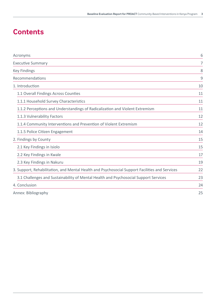# **Contents**

| Acronyms                                                                                       | 6  |
|------------------------------------------------------------------------------------------------|----|
| <b>Executive Summary</b>                                                                       | 7  |
| <b>Key Findings</b>                                                                            | 8  |
| Recommendations                                                                                | 9  |
| 1. Introduction                                                                                | 10 |
| 1.1 Overall Findings Across Counties                                                           | 11 |
| 1.1.1 Household Survey Characteristics                                                         | 11 |
| 1.1.2 Perceptions and Understandings of Radicalization and Violent Extremism                   | 11 |
| 1.1.3 Vulnerability Factors                                                                    | 12 |
| 1.1.4 Community Interventions and Prevention of Violent Extremism                              | 12 |
| 1.1.5 Police Citizen Engagement                                                                | 14 |
| 2. Findings by County                                                                          | 15 |
| 2.1 Key Findings in Isiolo                                                                     | 15 |
| 2.2 Key Findings in Kwale                                                                      | 17 |
| 2.3 Key Findings in Nakuru                                                                     | 19 |
| 3. Support, Rehabilitation, and Mental Health and Psychosocial Support Facilities and Services | 22 |
| 3.1 Challenges and Sustainability of Mental Health and Psychosocial Support Services           | 23 |
| 4. Conclusion                                                                                  | 24 |
| Annex: Bibliography                                                                            | 25 |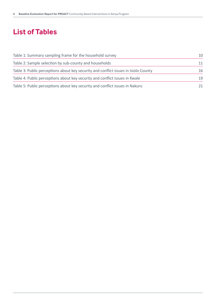# **List of Tables**

| Table 1: Summary sampling frame for the household survey                            |    |
|-------------------------------------------------------------------------------------|----|
| Table 2: Sample selection by sub-county and households                              | 11 |
| Table 3: Public perceptions about key security and conflict issues in Isiolo County | 16 |
| Table 4: Public perceptions about key security and conflict issues in Kwale         | 19 |
| Table 5: Public perceptions about key security and conflict issues in Nakuru        | 21 |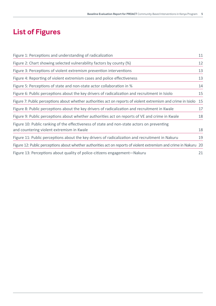# **List of Figures**

| Figure 1: Perceptions and understanding of radicalization                                                          | 11 |
|--------------------------------------------------------------------------------------------------------------------|----|
| Figure 2: Chart showing selected vulnerability factors by county (%)                                               | 12 |
| Figure 3: Perceptions of violent extremism prevention interventions                                                | 13 |
| Figure 4: Reporting of violent extremism cases and police effectiveness                                            | 13 |
| Figure 5: Perceptions of state and non-state actor collaboration in %                                              | 14 |
| Figure 6: Public perceptions about the key drivers of radicalization and recruitment in Isiolo                     | 15 |
| Figure 7: Public perceptions about whether authorities act on reports of violent extremism and crime in Isiolo     | 15 |
| Figure 8: Public perceptions about the key drivers of radicalization and recruitment in Kwale                      | 17 |
| Figure 9: Public perceptions about whether authorities act on reports of VE and crime in Kwale                     | 18 |
| Figure 10: Public ranking of the effectiveness of state and non-state actors on preventing                         |    |
| and countering violent extremism in Kwale                                                                          | 18 |
| Figure 11: Public perceptions about the key drivers of radicalization and recruitment in Nakuru                    | 19 |
| Figure 12: Public perceptions about whether authorities act on reports of violent extremism and crime in Nakuru 20 |    |
| Figure 13: Perceptions about quality of police-citizens engagement—Nakuru                                          | 21 |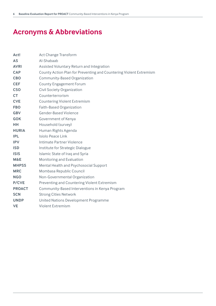# **Acronyms & Abbreviations**

| Act!           | Act Change Transform                                               |
|----------------|--------------------------------------------------------------------|
| <b>AS</b>      | Al-Shabaab                                                         |
| <b>AVRI</b>    | Assisted Voluntary Return and Integration                          |
| <b>CAP</b>     | County Action Plan for Preventing and Countering Violent Extremism |
| <b>CBO</b>     | Community-Based Organization                                       |
| <b>CEF</b>     | <b>County Engagement Forum</b>                                     |
| <b>CSO</b>     | <b>Civil Society Organization</b>                                  |
| <b>CT</b>      | Counterterrorism                                                   |
| <b>CVE</b>     | <b>Countering Violent Extremism</b>                                |
| <b>FBO</b>     | Faith-Based Organization                                           |
| <b>GBV</b>     | <b>Gender-Based Violence</b>                                       |
| <b>GOK</b>     | Government of Kenya                                                |
| HН             | Household (survey)                                                 |
| <b>HURIA</b>   | Human Rights Agenda                                                |
| <b>IPL</b>     | Isiolo Peace Link                                                  |
| <b>IPV</b>     | Intimate Partner Violence                                          |
| <b>ISD</b>     | Institute for Strategic Dialogue                                   |
| <b>ISIS</b>    | Islamic State of Iraq and Syria                                    |
| <b>M&amp;E</b> | Monitoring and Evaluation                                          |
| <b>MHPSS</b>   | Mental Health and Psychosocial Support                             |
| <b>MRC</b>     | Mombasa Republic Council                                           |
| <b>NGO</b>     | Non-Governmental Organization                                      |
| P/CVE          | Preventing and Countering Violent Extremism                        |
| <b>PROACT</b>  | Community-Based Interventions in Kenya Program                     |
| <b>SCN</b>     | <b>Strong Cities Network</b>                                       |
| <b>UNDP</b>    | United Nations Development Programme                               |
| <b>VE</b>      | <b>Violent Extremism</b>                                           |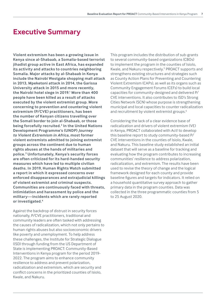## <span id="page-6-0"></span>**Executive Summary**

**Violent extremism has been a growing issue in Kenya since al-Shabaab, a Somalia-based terrorist jihadist group active in East Africa, has expanded its activity and attacks to countries neighboring Somalia. Major attacks by al-Shabaab in Kenya include the Nairobi Westgate shopping mall attack in 2013, Mpeketoni attack in 2014, the Garissa University attack in 2015 and more recently, the Nairobi hotel siege in 2019[.1](#page-26-0) More than 400 people have been killed as a result of attacks executed by the violent extremist group. More concerning to prevention and countering violent extremism (P/CVE) practitioners, has been the number of Kenyan citizens travelling over the Somali border to join al-Shabaab, or those being forcefully recruited.[2](#page-26-0) In the United Nations Development Programme's (UNDP)** *Journey to Violent Extremism in Africa***, most former violent extremists admitted to joining extremist groups across the continent due to human rights abuses at the hands of militaries and police.[3](#page-26-0) Unfortunately, Kenya's security forces are often criticized for its hard-handed security measures which have led to multiple civilian deaths. In 2019, Human Rights Watch submitted a report in which it expressed concerns over enforced disappearances and extrajudicial killings of violent extremist and criminal suspects. Communities are continuously faced with threats, intimidation and harassment by police and the military—incidents which are rarely reported or investigated.[4](#page-26-0)**

Against the backdrop of distrust in security forces nationally, P/CVE practitioners, traditional and community leaders are often tasked with addressing the causes of radicalization, which not only pertains to human rights abuses but also socioeconomic drivers like poverty and unemployment. To help address these challenges, the Institute for Strategic Dialogue (ISD) through funding from the US Department of State is implementing PROACT: Community-Based Interventions in Kenya program for the period 2019- 2022. The program aims to enhance community resilience to address and prevent polarization, radicalization and extremism, which are security and conflict concerns in the prioritized counties of Isiolo, Kwale, and Nakuru.

This program includes the distribution of sub-grants to several community-based organizations (CBOs) to implement the program in the counties of Isiolo, Kwale, and Nakuru respectively.<sup>[5](#page-26-0)</sup> PROACT supports and strengthens existing structures and strategies such as County Action Plans for Preventing and Countering Violent Extremism (CAPs), as well as its organs such as Community Engagement Forums (CEFs) to build local capacities for community-designed and delivered P/ CVE interventions. It also contributes to ISD's Strong Cities Network (SCN) whose purpose is strengthening municipal and local capacities to counter radicalization and recruitment by violent extremist groups.<sup>[6](#page-26-0)</sup>

Considering the lack of a clear evidence base of radicalization and drivers of violent extremism (VE) in Kenya, PROACT collaborated with Act! to develop this baseline report to study community-based P/ CVE interventions in the counties of Isiolo, Kwale, and Nakuru. This baseline study established an initial dataset that will serve as a baseline for tracking and evaluating how the program contributes to increasing communities' resilience to address polarization, radicalization, and extremism. The results have been used to revise the theory of change and the logical framework designed for each county and provide baseline figures and targets for indicators. It relied on a household quantitative survey approach to gather primary data in the program counties. Data was collected in the three programmatic counties from 5 to 25 August 2020.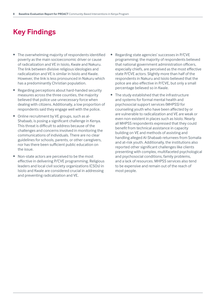## **Key Findings**

- The overwhelming majority of respondents identified poverty as the main socioeconomic driver or cause of radicalization and VE in Isiolo, Kwale and Nakuru. The link between divisive religious ideologies and radicalization and VE is similar in Isiolo and Kwale. However, the link is less pronounced in Nakuru which has a predominantly Christian population.
- Regarding perceptions about hard-handed security measures across the three counties, the majority believed that police use unnecessary force when dealing with citizens. Additionally, a low proportion of respondents said they engage well with the police.
- Online recruitment by VE groups, such as al-Shabaab, is posing a significant challenge in Kenya. This threat is difficult to address because of the challenges and concerns involved in monitoring the communications of individuals. There are no clear guidelines for schools, parents, or other caregivers, nor has there been sufficient public education on the issue.
- Non-state actors are perceived to be the most effective in delivering P/CVE programming. Religious leaders and local civil society organizations (CSOs) in Isiolo and Kwale are considered crucial in addressing and preventing radicalization and VE.
- Regarding state agencies' successes in P/CVE programming: the majority of respondents believed that national government administration officers, especially chiefs, are perceived as the most effective state P/CVE actors. Slightly more than half of the respondents in Nakuru and Isiolo believed that the police are also effective in P/CVE, but only a small percentage believed so in Kwale.
- The study established that the infrastructure and systems for formal mental health and psychosocial support services (MHPSS) for counseling youth who have been affected by or are vulnerable to radicalization and VE are weak or even non-existent in places such as Isiolo. Nearly all MHPSS respondents expressed that they could benefit from technical assistance in capacity building on VE and methods of assisting and handling alleged Al-Shabaab returnees from Somalia and at-risk youth. Additionally, the institutions also reported other significant challenges like clients presenting with complex, multifaceted psychological and psychosocial conditions, family problems, and a lack of resources. MHPSS services also tend to be expensive and remain out of the reach of most people.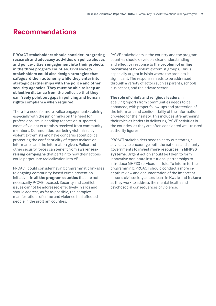### **Recommendations**

**PROACT stakeholders should consider integrating research and advocacy activities on police abuses and police-citizen engagement into their projects in the three program counties. Civil society stakeholders could also design strategies that safeguard their autonomy while they enter into strategic partnerships with the police and other security agencies. They must be able to keep an objective distance from the police so that they can freely point out gaps in policing and human rights compliance when required.** 

There is a need for more police engagement/training, especially with the junior ranks on the need for professionalism in handling reports on suspected cases of violent extremists received from community members. Communities fear being victimized by violent extremists and have concerns about police protecting the confidentiality of report makers or informants, and the information given. Police and other security forces can benefit from **awarenessraising campaigns** that pertain to how their actions could perpetuate radicalization into VE.

PROACT could consider having programmatic linkages to ongoing community-based crime prevention initiatives in **all the program counties** that are not necessarily P/CVE-focused. Security and conflict issues cannot be addressed effectively in silos and should address, as far as possible, the complex manifestations of crime and violence that affected people in the program counties.

P/CVE stakeholders in the country and the program counties should develop a clear understanding and effective response to the **problem of online recruitment** by violent extremist groups. This is especially urgent in Isiolo where the problem is significant. The response needs to be addressed through a variety of actors such as parents, schools, businesses, and the private sector.

**The role of chiefs and religious leaders** in r eceiving reports from communities needs to be enhanced, with proper follow-ups and protection of the informant and confidentiality of the information provided for their safety. This includes strengthening their roles as leaders in delivering P/CVE activities in the counties, as they are often considered well-trusted authority figures.

PROACT stakeholders need to carry out strategic advocacy to encourage both the national and county governments to **invest more resources in MHPSS systems**. Urgent action should be taken to form innovative non-state institutional partnerships to introduce MHPSS services in Isiolo. To inform further programming, PROACT should conduct a more indepth review and documentation of the important lessons civil society actors learn in **Kwale** and **Nakuru** as they work to address the mental health and psychosocial consequences of violence.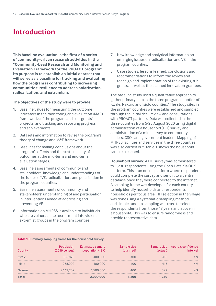## <span id="page-9-0"></span>**Introduction**

**This baseline evaluation is the first of a series of community-driven research activities in the "Community-Lead Research and Monitoring and Evaluation Framework for the PROACT program". Its purpose is to establish an initial dataset that will serve as a baseline for tracking and evaluating how the program is contributing to increasing communities' resilience to address polarization, radicalization, and extremism.** 

#### **The objectives of the study were to provide:**

- 1. Baseline values for measuring the outcome indicators in the monitoring and evaluation (M&E) frameworks of the program and sub-grants' projects, and tracking and reporting progress and achievements.
- 2. Datasets and information to revise the program's theory of change and M&E framework.
- 3. Baselines for making conclusions about the program's effects and the sustainability of outcomes at the mid-term and end-term evaluation stages.
- 4. Baseline assessments of community and stakeholders' knowledge and understandings of the issues of VE, radicalization, and polarization in the program counties.
- 5. Baseline assessments of community and stakeholders' understanding of and participation in interventions aimed at addressing and preventing VE.
- 6. Information on MHPSS is available to individuals who are vulnerable to recruitment into violent extremist groups in the program counties.
- 7. New knowledge and analytical information on emerging issues on radicalization and VE in the program counties.
- 8. Case studies, lessons learned, conclusions and recommendations to inform the review and redesign and implementation of the existing subgrants, as well as the planned innovation grantees.

The baseline study used a quantitative approach to gather primary data in the three program counties of Kwale, Nakuru and Isiolo counties[.7](#page-26-0) The study sites in the program counties were established and sampled through the initial desk review and consultations with PROACT partners. Data was collected in the three counties from 5-25 August 2020 using digital administration of a household (HH) survey and administration of a mini-survey to community leaders, CSOs and government leaders. Mapping of MHPSS facilities and services in the three counties was also carried out. Table 1 shows the household samples reached.

**Household survey**: A HH survey was administered to 1,230 respondents using the Open Data Kit-ODK platform. This is an online platform where respondents could complete the survey and send it to a central database once they were connected to the internet. A sampling frame was developed for each county to help identify households and respondents in households per focus area. HH selection in the village was done using a systematic sampling method and simple random sampling was used to select the respondents from those 18 years and above in a household. This was to ensure randomness and provide representative data.

| $19$ census) | Estimated sample<br>$18+$<br>DC |  | Approx. cor |
|--------------|---------------------------------|--|-------------|
|              |                                 |  |             |
| (00)         |                                 |  |             |
|              | ЭОО                             |  |             |
|              |                                 |  |             |

#### **Table 1 Summary sampling frame for the household survey.**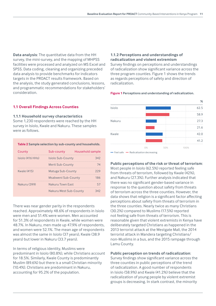**Data analysis**: The quantitative data from the HH survey, the mini-survey, and the mapping of MHPSS facilities were processed and analyzed on MS Excel and SPSS. Data coding, cleaning and organizing preceded data analysis to provide benchmarks for indicators targets in the PROACT results framework. Based on the analysis, the study generated conclusions, lessons, and programmatic recommendations for stakeholders' consideration.

#### **1.1 Overall Findings Across Counties**

#### **1.1.1 Household survey characteristics**

Some 1,230 respondents were reached by the HH survey in Isiolo, Kwale and Nakuru. These samples were as follows.

#### **Table 2 Sample selection by sub-county and households.**

| County             | Sub-county             | Household sample |
|--------------------|------------------------|------------------|
| Isiolo (416 HHs)   | Isiolo Sub-County      | 342              |
|                    | Merti Sub-County       | 74               |
| <b>Kwale (415)</b> | Matuga Sub-County      | 229              |
|                    | Msabweni Sub-County    | 186              |
| Nakuru (399)       | Nakuru Town East       | 57               |
|                    | Nakuru West Sub-County | 342              |

There was near gender parity in the respondents reached. Approximately 48.6% of respondents in Isiolo were men and 51.4% were women. Men accounted for 51.3% of respondents in Kwale, while women were 48.7%. In Nakuru, men made up 47.9% of respondents, and women were 52.1%. The mean age of respondents was almost the same in Isiolo (37 years), Kwale (38.9 years) but lower in Nakuru (33.7 years).

In terms of religious identity, Muslims were predominant in Isiolo (80.8%), while Christians account for 18.5%. Similarly, Kwale County is predominantly Muslim (89.6%) but there is a small Christian minority (10.4%). Christians are predominant in Nakuru, accounting for 95.2% of the population.

#### **1.1.2 Perceptions and understandings of radicalization and violent extremism**

Survey findings on perceptions and understandings of radicalization show significant variance across the three program counties. Figure 1 shows the trends as regards perceptions of safety and direction of radicalization.



#### **Figure 1 Perceptions and understanding of radicalization.**

— Feel safe — Radicalization decreasing

#### **Public perceptions of the risk or threat of terrorism**:

Most people in Isiolo (62.5%) reported feeling safe from threats of terrorism, followed by Kwale (42%), and Nakuru (27.3%). Further analysis indicated that there was no significant gender-based variance in response to the question about safety from threats of terrorism across the three counties. However, the data shows that religion is a significant factor affecting perceptions about safety from threats of terrorism in the three counties. Nearly twice as many Christians (30.2%) compared to Muslims (17.5%) reported not feeling safe from threats of terrorism. This is reasonable given that violent extremists in Kenya have deliberately targeted Christians as happened in the 2013 terrorist attack at the Westgate Mall, the 2014 terrorist attack in Mandera targeting Christians/ non-Muslims in a bus, and the 2015 rampage through Lamu County.

#### **Public perception on trends of radicalization**:

Survey findings show significant variance across the three counties in public perceptions of the trend of radicalization. A good number of respondents in Isiolo (58.9%) and Kwale (41.2%) believe that the radicalization of young people by violent extremist groups is decreasing. In stark contrast, the minority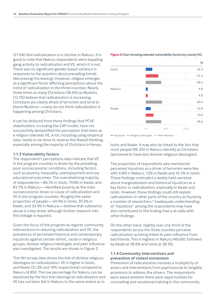<span id="page-11-0"></span>(21.6%) feel radicalization is in decline in Nakuru. It is good to note that Nakuru respondents were equating gang activity to radicalization and VE, which it is not. There was no significant gender-based variance in responses to the question about prevailing trends (decreasing/increasing). However, religion emerges as a significant factor affecting perceptions about the trend of radicalization in the three counties: Nearly three times as many Christians (38.6%) as Muslims (12.1%) believe that radicalization is increasing. Christians are clearly afraid of terrorism and tend to blame Muslims—many do not think radicalization is happening among Christians.

It can be deduced from these findings that PCVE stakeholders; including the CAP model, have not successfully demystified the perception that Islam as a religion tolerates VE. A lot; including using empirical data, needs to be done to reverse this flawed thinking, especially among the majority of Christians in Kenya.

#### **1.1.3 Vulnerability factors**

The respondent's perceptions data indicate that VE in the program counties is driven by the prevailing poor socioeconomic conditions, including factors such as poverty, inequality, unemployment and low educational outcomes. The overwhelming majority of respondents—86.1% in Isiolo, 79.8% in Kwale, and 82.7% in Nakuru—identified poverty as the main socioeconomic driver or cause of radicalization and VE in the program counties. Roughly the same proportion of people—34.9% in Isiolo, 39.3% in Kwale, and 33.4% in Nakuru—believe that substance abuse is a key driver although further research into this linkage is required.

Given the focus of the program as regards community interventions in reducing radicalization and VE, the prevalence of perceived historical and contemporary injustices against certain ethnic, racial or religious groups, divisive religious ideologies and peer influence was investigated. The results are shown in Figure 2.

The HH survey data shows the link of divisive religious ideologies on radicalization, VE is higher in Isiolo, and Kwale (31.3% and 19% respectively) compared to Nakuru (4.8%). The low percentage for Nakuru can be explained by the fact that ideological radicalization and VE has not been felt in Nakuru to the same extent as in

#### **Figure 2 Chart showing selected vulnerability factors by county (%).**



— Injustices — Religious ideologies — Peer influence

Isiolo and Kwale. It may also be linked to the fact that most people (96.3%) in Nakuru identify as Christians (perceived to have less divisive religious ideologies).

The proportion of respondents who mentioned perceived injustices as a driver of terrorism were few with 4.8% in Nakuru, 12% in Kwale and 16.3% in Isiolo. These findings contradict a widely held narrative about marginalization and historical injustices as a key factor in radicalization, especially in Kwale and Isiolo. However, these findings could still explain radicalization in other parts of the country as found by a number of researchers.<sup>[8](#page-26-0)</sup> Inadequate understanding of "injustices" among the respondents may have also contributed to the finding that is at odds with other findings.

On the other hand, slightly over one-third of the respondents across the three counties perceive radicalization as being linked to peer influence from bad friends. This is highest in Nakuru (40.6%), followed by Kwale at 38.6% and Isiolo at 38.5%.

#### **1.1.4 Community interventions and prevention of violent extremism**

Prevention of radicalization involves a multiplicity of actors and interventions from psychosocial to tangible provisions to address the drivers. The respondents were asked whether there were opportunities for counseling and vocational training in the community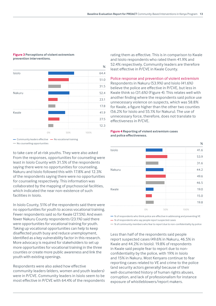#### **Figure 3 Perceptions of violent extremism prevention interventions.**



- Community leaders effective - No vocational training

— No counselling opportunities

to take care of at-risk youths. They were also asked From the responses, opportunities for counseling were least in Isiolo County with 31.5% of the respondents saying there were no opportunities for counseling. Nakuru and Isiolo followed this with 17.8% and 12.3% of the respondents saying there were no opportunities for counseling respectively. This information was collaborated by the mapping of psychosocial facilities, which indicated the near non-existence of such facilities in Isiolo.

In Isiolo County, 51% of the respondents said there were no opportunities for youth to access vocational training. Fewer respondents said so for Kwale (27.5%). And even fewer Nakuru County respondents (23.1%) said there were opportunities for vocational training for youth. Taking up vocational opportunities can help to keep disaffected youth busy and reduce unemployment, identified as a key vulnerability factor in this research. More advocacy is required for stakeholders to set up more opportunities for vocational training in the three counties or create more public awareness and link the youth with existing openings.

Respondents were also asked how effective community leaders (elders, women and youth leaders) were in P/CVE. Community leaders in Isiolo seem to be most effective in P/CVE with 64.4% of the respondents rating them as effective. This is in comparison to Kwale and Isiolo respondents who rated them 41.9% and 52.4% respectively. Community leaders are therefore least effective in P/CVE in Kwale County.

#### Police response and prevention of violent extremism

Respondents in Nakuru (53.9%) and Isiolo (41.6%) believe the police are effective in P/CVE, but less in Kwale think so (31.6%) (Figure 4). This relates well with another finding where the respondents said police use unnecessary violence on suspects, which was 58.8% for Kwale, a figure higher than the other two counties (56.2% for Isiolo and 55.1% for Nakuru). The use of unnecessary force, therefore, does not translate to effectiveness in P/CVE.

#### **Figure 4 Reporting of violent extremism cases and police effectiveness.**



— % of respondents who think police are effective in addressing and preventing VE

— % of respondents who say people report suspected cases

— % of community members who fear to report due to non-confidentiality by police

Less than half of the respondents said people report suspected cases (49.6% in Nakuru, 46.5% in Kwale and 44.2% in Isiolo). 19.8% of respondents in Kwale said people fear to report due to nonconfidentiality by the police, with 19% in Isiolo and 15% in Nakuru. Most Kenyans continue to fear reporting cases related to VE and crime to the police (and security actors generally) because of their well-documented history of human rights abuses, corruption, and lack of professionalism for instance exposure of whistleblowers/report makers.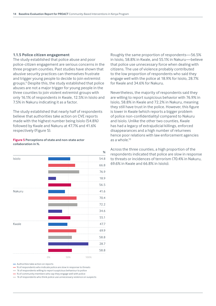#### <span id="page-13-0"></span>**1.1.5 Police citizen engagement**

The study established that police abuse and poor police-citizen engagement are serious concerns in the three program counties. Past studies have shown that abusive security practices can themselves frustrate and trigger young people to decide to join extremist groups.[9](#page-26-0) Despite this, the study established that police abuses are not a major trigger for young people in the three counties to join violent extremist groups with only 16.1% of respondents in Kwale, 12.5% in Isiolo and 7.5% in Nakuru indicating it as a factor.

The study established that nearly half of respondents believe that authorities take action on CVE reports made with the highest number being Isiolo (54.8%) followed by Kwale and Nakuru at 47.7% and 41.6% respectively (Figure 5).

#### **Figure 5 Perceptions of state and non-state actor collaboration in %.**

 **%** Isiolo 54.8 Nakuru 41.6 Kwale 47.7 0% 50% 100%

— Authorities take action on reports

— % of respondents who indicate police are slow in response to threats

— % of respondents willing to report suspicious behaviour to police

— % of community members who say they engage well with police

— % of respondents who think police use unnecessary violence on suspects

Roughly the same proportion of respondents—56.5% in Isiolo, 58.8% in Kwale, and 55.1% in Nakuru—believe that police use unnecessary force when dealing with citizens. The use of violence probably contributed to the low proportion of respondents who said they engage well with the police at 18.9% for Isiolo, 28.7% for Kwale and 34.6% for Nakuru.

Nevertheless, the majority of respondents said they are willing to report suspicious behavior with 76.9% in Isiolo, 58.8% in Kwale and 72.2% in Nakuru, meaning they still have trust in the police. However, this figure is lower in Kwale (which reports a bigger problem of police non-confidentiality) compared to Nakuru and Isiolo. Unlike the other two counties, Kwale has had a legacy of extrajudicial killings, enforced disappearances and a high number of returnees hence poor relations with law enforcement agencies as a whole[.10](#page-26-0)

Across the three counties, a high proportion of the respondents indicated that police are slow in response to threats or incidences of terrorism (70.4% in Nakuru, 69.6% in Kwale and 66.8% in Isiolo).

66.8 76.9 18.9 56.5 70.4 72.2 34.6 55.1 69.9 58.8 28.7 58.8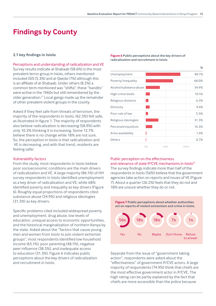## <span id="page-14-0"></span>**Findings by County**

#### **2.1 key findings in Isiolo**

Perceptions and understanding of radicalization and VE Survey results indicate al-Shabaab (58.6%) is the most prevalent terror group in Isiolo, others mentioned included ISIS (5.3%) and al-Qaeda (7%) although this is an affiliate of al-Shabaab. Under others (8.2%) a common term mentioned was "shifta", these "bandits" were active in the 1960s but still remembered by the older generation.[11](#page-26-0) Local gangs made up the remainder of other prevalent violent groups in the county.

Asked if they feel safe from threats of terrorism, the majority of the respondents in Isiolo, (62.5%) felt safe, as illustrated in figure 1. The majority of respondents also believe radicalization is decreasing (58.9%) with only 10.3% thinking it is increasing. Some 12.7% believe there is no change while 18% are not sure. So, the perception in Isiolo is that radicalization and VE is decreasing, and with that trend, residents are feeling safer.

#### Vulnerability factors

From the study, most respondents in Isiolo believe poor socioeconomic conditions are the main drivers of radicalization and VE. A large majority (86.1%) of HH survey respondents in Isiolo identified unemployment as a key driver of radicalization and VE; while 68% identified poverty and inequality as key drivers (Figure 6). Roughly equal proportions of respondents cited substance abuse (34.9%) and religious ideologies (31.3%) as key drivers.

Specific problems cited included widespread poverty and unemployment, drug abuse, low levels of education, unequal access to economic opportunities, and the historical marginalization of northern Kenya by the state. Asked about the "factors that cause young men and women from Isiolo to join violent extremist groups", most respondents identified low household income (65.1%), poor parenting (48.1%), negative peer influence (38.5%), and inadequate access to education (31.3%). Figure 6 indicates public perceptions about the key drivers of radicalization and recruitment in Isiolo.

**Figure 6 Public perceptions about the key drivers of radicalization and recruitment in Isiolo.**

|                         |    |     |      | ℅     |
|-------------------------|----|-----|------|-------|
| Unemployment            |    |     |      | 86.1% |
| Poverty/inequality      |    |     |      | 68.0% |
| Alcohol/substance abuse |    |     |      | 34.9% |
| High crime levels       |    |     |      | 10.1% |
| Religious divisions     |    |     |      | 6.3%  |
| Ethnicity               |    |     |      | 9.4%  |
| Poor rule of law        |    |     |      | 5.5%  |
| Religious ideologies    |    |     |      | 31.3% |
| Perceived injustices    |    |     |      | 16.3% |
| Arms availability       |    |     |      | 1.4%  |
| Others                  |    |     |      | 0.7%  |
|                         | 0% | 50% | 100% |       |

#### Public perception on the effectiveness and relevance of state P/CVE mechanisms in Isiolo<sup>12</sup>

The survey findings indicate more than half of the respondents in Isiolo (56%) believe that the government agencies take action on reports and issues of VE (Figure 7). About a quarter (26.2%) feels that they do not and 18% are unsure whether they do or not.



Separate from the issue of "government taking action", respondents were asked about the "effectiveness" of government P/CVE actors. A large majority of respondents (74.9%) think that chiefs are the most effective government actor in P/CVE. The high rating can be partly explained by the fact that chiefs are more accessible than the police because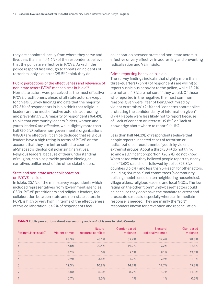<span id="page-15-0"></span>they are appointed locally from where they serve and live. Less than half (41.6%) of the respondents believe that the police are effective in P/CVE. Asked if the police respond fast enough to threats or incidents of terrorism, only a quarter (25.5%) think they do.

#### Public perceptions of the effectiveness and relevance of non-state actors P/CVE mechanisms in Isiolo<sup>13</sup>

Non-state actors were perceived as the most effective P/CVE practitioners, ahead of all state actors, except for chiefs. Survey findings indicate that the majority (79.3%) of respondents in Isiolo think that religious leaders are the most effective actors in addressing and preventing VE. A majority of respondents (64.4%) thinks that community leaders (elders, women and youth leaders) are effective, while slightly more than half (50.5%) believe non-governmental organizations (NGOs) are effective. It can be deduced that religious leaders have a high rating in terms of P/CVE on the account that they are better suited to counter al-Shabaab's ideological polarizing narratives. Religious leaders, because of their understanding of religion, can also provide positive ideological narratives unlike most of the other stakeholders.

#### State and non-state actor collaboration on P/CVE in Isiolo

In Isiolo, 35.1% of the mini-survey respondents which included representatives from government agencies, CSOs, P/CVE practitioners and religious leaders, feel collaboration between state and non-state actors in PCVE is high or very high. In terms of the effectiveness of this collaboration, 64.9% of respondents feel

collaboration between state and non-state actors is effective or very effective in addressing and preventing radicalization and VE in Isiolo.

#### Crime reporting behavior in Isiolo

The survey findings indicate that slightly more than three-quarters (76.9%) of respondents are willing to report suspicious behavior to the police, while 13.9% are not and 4.8% are not sure if they would. Of those who reported in the negative, the most common reasons given were "fear of being victimized by violent extremists" (24%) and "concerns about police protecting the confidentiality of information given" (19%). People were less likely not to report because of "lack of concern or interest" (9.8%) or "lack of knowledge about where to report" (4.1%).

Less than half (44.2%) of respondents believe that people report suspected cases of terrorism or radicalization or recruitment of youth by violent extremist groups. About a third (30%) do not think so and a significant proportion, (26.2%), do not know. When asked who they believed people report to, nearly half (47.6%) said chiefs, followed by police (23.8%), counties (16.6%), and less than 5% each for other actors, including Nyumba Kumi committees (a community policing model based on ten neighboring households), village elders, religious leaders, and local NGOs. The low rating on the other "community-based" actors could be because they don't have the mandate to arrest and prosecute suspects, especially where an immediate response is needed. They are mainly the "soft" responders known for prevention and reconciliation.

| Rating (Likert scale) <sup>14</sup> Violent crimes resource conflicts |         | Natural | Gender-based<br>violence | Electoral<br>political violence | Clan-based<br><i>inlence</i> |
|-----------------------------------------------------------------------|---------|---------|--------------------------|---------------------------------|------------------------------|
|                                                                       | 48.3%   | 48.1%   | 39.4%                    | 39.4%                           | 28 8%.                       |
| $\circ$                                                               | 16.8%   | 20.4%   | 19.2%                    | 192%                            | 17.8%                        |
|                                                                       | 8.2%    | 5%      | $9.1\%$                  | $9.1\%$                         | $12.7\%$                     |
|                                                                       |         | 38%     | 79%                      | 79%.                            | $.1\%$                       |
|                                                                       | 12.3%   | 10 ጸ%   | $14.7\%$                 | 14.7%                           | ' 8%                         |
|                                                                       | $3.8\%$ | 6.3%    | 8.7%                     | 7%                              | 3%                           |
|                                                                       |         |         |                          |                                 | 5%                           |

#### **Table 3 Public perceptions about key security and conflict issues in Isiolo County.**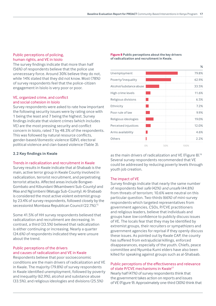#### <span id="page-16-0"></span>Public perceptions of policing, human rights, and VE in Isiolo

The survey findings indicate that more than half (56%) of respondents believe that the police use unnecessary force. Around 30% believe they do not, while 14% stated that they did not know. Most (78%) of survey respondents feel that the police-citizen engagement in Isiolo is very poor or poor.

#### VE, organized crime, and conflict and social cohesion in Isiolo

Survey respondents were asked to rate how important the following security issues were by rating once with 1 being the least and 7 being the highest. Survey findings indicate that violent crimes (which includes VE) are the most pressing security and conflict concern in Isiolo, rated 7 by 48.3% of the respondents. This was followed by natural resource conflicts, gender-based/domestic violence (GBV), electoral political violence and clan-based violence (Table 3).

#### **2.2 Key findings in Kwale**

#### Trends in radicalization and recruitment in Kwale

Survey results in Kwale indicate that al-Shabaab is the main, active terror group in Kwale County involved in radicalization, terrorist recruitment, and perpetrating terrorist attacks. Affected areas include Bongwe-Gombato and Kibundani (Msambweni Sub-County) and Waa and Ng'ombeni (Matuga Sub-County). Al-Shabaab is considered the most active violent extremist group by 23.4% of survey respondents, followed closely by the secessionist Mombasa Republican Council (22.7%)[.15](#page-26-0)

Some 41.5% of HH survey respondents believed that radicalization and recruitment are decreasing. In contrast, a third (33.5%) believed that radicalization is either continuing or increasing. Nearly a quarter (24.6%) of respondents indicated they were unsure about the trend.

#### Public perceptions of the drivers and causes of radicalization and VE in Kwale

Respondents believe that poor socioeconomic conditions are the main drivers of radicalization and VE in Kwale. The majority (79.8%) of survey respondents in Kwale identified unemployment, followed by poverty and inequality (62.9%), alcohol and substance abuse (33.5%), and religious ideologies and divisions (25.5%)

**Figure 8 Public perceptions about the key drivers of radicalization and recruitment in Kwale.**



as the main drivers of radicalization and VE (Figure 8)[.16](#page-26-0) Several survey respondents recommended that VE could be addressed by reducing poverty levels through youth job creation.

#### The impact of VE

Survey findings indicate that nearly the same number of respondents feel *safe* (42%) *and unsafe* (44.8%) from threats of terrorism; 10.6% were neutral on this particular question. Two-thirds (66%) of mini-survey respondents which targeted representatives from government agencies, CSOs, P/CVE practitioners and religious leaders, believe that individuals and groups have *low* confidence to publicly discuss issues of VE. The locals fear that they may be identified by extremist groups, their recruiters or sympathizers and government agencies for reprisal if they openly discuss these issues. As pointed out by Kwale CAP, the county has suffered from extrajudicial killings, enforced disappearances, especially of the youth. Chiefs, peace committee and Nyumba Kumi elders have also been killed for speaking against groups such as al-Shabaab.

#### Public perceptions of the effectiveness and relevance of state P/CVE mechanisms in Kwale<sup>17</sup>

Nearly half (47%) of survey respondents think that the government takes action on reports and issues of VE (Figure 9). Approximately one-third (30%) think that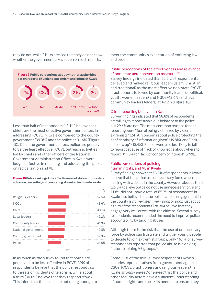<span id="page-17-0"></span>they do not, while 21% expressed that they do not know whether the government takes action on such reports.



Less than half of respondents (43.1%) believe that chiefs are the most effective government actors in addressing P/CVE in Kwale compared to the county government (39.3%) and the police at 31.6% (Figure 10). Of all the government actors, police are perceived to be the least effective. P/CVE outreach activities led by chiefs and other officers of the National Government Administration Office in Kwale were judged effective in reaching and educating the public on radicalization and VE.

#### **Figure 10 Public ranking of the effectiveness of state and non-state actors on preventing and countering violent extremism in Kwale.**

|                     |    |     | $\frac{9}{6}$ |
|---------------------|----|-----|---------------|
| Religious leaders   |    |     | 52.5%         |
| <b>NGOs</b>         |    |     | 43.6%         |
| Chief               |    |     | 43.1%         |
| Local leaders       |    |     | 42.2%         |
| Community leaders   |    |     | 41.9%         |
| National government |    |     | 40.5%         |
| County government   |    |     | 39.3%         |
| Police              |    |     | 31.6%         |
|                     | 0% | 50% | 100%          |

In as much as the survey found that police are perceived to be less effective in PCVE, 39% of respondents believe that the police respond *fast* to threats or incidents of terrorism, while about a third (30.6%) believe that they respond *slowly*. This infers that the police are not doing enough to meet the community's expectation of enforcing law and order.

#### Public perceptions of the effectiveness and relevance of non-state actor prevention measures<sup>18</sup>

Survey findings indicated that 52.5% of respondents believed and ranked religious leaders (Islam, Christian and traditional) as the most effective non-state P/CVE practitioners, followed by community leaders (political, youth, women leaders) and NGOs (43.6%) and local community leaders (elders) at 42.2% (Figure 10).

#### Crime reporting behavior in Kwale

Survey findings indicated that 58.8% of respondents are willing to report suspicious behavior to the police but 29.6% are not. The most common reasons for not reporting were "fear of being victimized by violent extremists" (24%), "concerns about police protecting the confidentiality of information given" (19.8%), and "lack of follow up" (15.4%). People were also less likely to fail to report because of "lack of knowledge about where to report" (11.3%) or "lack of concern or interest" (9.9%).

#### Public perceptions of policing, human rights, and VE in Kwale

Survey findings show that 58.8% of respondents in Kwale believe that the police use unnecessary force when dealing with citizens in the county. However, about a third (26.3%) believe police do not use unnecessary force and 11.8% did not know. A total of 65.2% of respondents in Kwale also believe that the police-citizen engagement in the county is *non-existent*, *very poor*, or *poor*. Just about a third of the respondents (28.9%) believe that they engage very well or well with the citizens. Several survey respondents recommended the need to improve police accountability by tackling abuses.

Although there is the risk that the use of unnecessary force by police can frustrate and trigger young people to decide to join extremist groups, only 16.1% of survey respondents reported that police abuse is a driving factor to joining VE groups.<sup>19</sup>

Some 25% of the mini-survey respondents (which includes representatives from government agencies, CSOs, P/CVE practitioners and religious leaders) in Kwale *strongly agreed* or *agreed* that the police and other security actors have a sufficient understanding of human rights and the skills needed to ensure they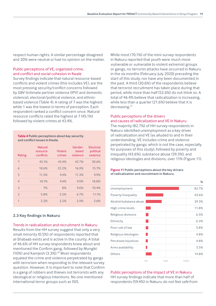<span id="page-18-0"></span>respect human rights. A similar percentage disagreed and 20% were neutral or had no opinion on the matter.

#### Public perceptions of VE, organized crime, and conflict and social cohesion in Kwale

Survey findings indicate that natural resource-based conflicts and violent crimes (this includes VE), are the most pressing security/conflict concerns followed by GBV (intimate partner violence (IPV) and domestic violence), electoral/political violence, and ethnicbased violence (Table 4). A rating of 7 was the highest while 1 was the lowest in terms of perception. Each respondent ranked a conflict concern once. Natural resource conflicts rated the highest at 7 (45.1%) followed by violent crimes at 43.4%.

#### **Table 4 Public perceptions about key security and conflict issues in Kwale.**

| Rating         | <b>Natural</b><br>resource<br>conflicts | Violent<br>crimes | Gender-<br>based<br>violence | Electoral<br>political<br>violence |
|----------------|-----------------------------------------|-------------------|------------------------------|------------------------------------|
| 7              | 45.1%                                   | 43.4%             | 42.7%                        | 30.6%                              |
| 6              | 18.6%                                   | 22.2%             | 16.9%                        | 15.7%                              |
| 5              | 11.3%                                   | 9.4%              | 11.3%                        | 9.9%                               |
| $\overline{4}$ | 10.1%                                   | 9.4%              | 9.9%                         | 18.8%                              |
| 3              | 7%                                      | 8%                | 9.6%                         | 10.4%                              |
| $\mathfrak{D}$ | 5.8%                                    | 5.5%              | 6.7%                         | 11.1%                              |
| 1              | 2.2%                                    | 2.2%              | 2.9%                         | 3.6%                               |

#### **2.3 Key findings in Nakuru**

#### Trends in radicalization and recruitment in Nakuru

Results from the HH survey suggest that only a very small minority (0.5%) of respondents reported that al-Shabaab exists and is active in the county. A total of 46.6% of HH survey respondents knew about and mentioned the Confirm gang, followed by Mungiki (10%) and Kamjesh (3.3%).[20](#page-26-0) Most respondents equated the crime and violence perpetrated by gangs with terrorism when responding to the relevant survey question. However, it is important to note that Confirm is a gang of robbers and thieves not terrorists with any ideological or religious intentions. No one mentioned international terror groups such as ISIS.

While most (70.1%) of the mini-survey respondents in Nakuru reported that youth were *much more vulnerable* or *vulnerable* to violent extremist groups or gangs, no terrorist attacks have occurred in Nakuru in the six months (February-July 2020) preceding the start of this study, nor have any been documented in the past. A third (30.6%) of the respondents believe that terrorist recruitment has taken place during that period, while more than half (52.6%) do not think so. A total of 46.4% believe that radicalization is increasing, while less than a quarter (21.6%) believe that it is decreasing.[21](#page-27-0)

#### Public perceptions of the drivers and causes of radicalization and VE in Nakuru

The majority (82.7%) of HH survey respondents in Nakuru identified unemployment as a key driver of radicalization and VE (as alluded to and in their understanding, VE includes crime and violence perpetrated by gangs; which is not the case, especially for purposes of this study), followed by poverty and inequality (43.6%), substance abuse (39.3%), and religious ideologies and divisions, over 11% (Figure 11).

#### **Figure 11 Public perceptions about the key drivers of radicalization and recruitment in Nakuru.**

|                         |    |     | ℅     |
|-------------------------|----|-----|-------|
| Unemployment            |    |     | 82.7% |
| Poverty/inequality      |    |     | 43.6% |
| Alcohol/substance abuse |    |     | 39.3% |
| High crime levels       |    |     | 11.8% |
| Religious divisions     |    |     | 6.5%  |
| Ethnicity               |    |     | 6.3%  |
| Poor rule of law        |    |     | 5.8%  |
| Religious ideologies    |    |     | 4.8%  |
| Perceived injustices    |    |     | 4.8%  |
| Arms availability       |    |     | 3.5%  |
| Others                  |    |     | 14.8% |
|                         | 0% | 50% | 100%  |

Public perceptions of the impact of VE in Nakuru HH survey findings indicate that more than half of respondents (59.4%) in Nakuru *do not feel safe* from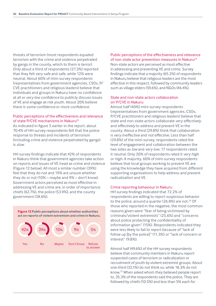<span id="page-19-0"></span>threats of terrorism (most respondents equated terrorism with the crime and violence perpetrated by gangs in the county, which to them is terror). Only about a third of respondents (27.3%) reported that they felt *very safe* and *safe*, while 12% were neutral. About 60% of mini-survey respondents (representatives from government agencies, CSOs, P/ CVE practitioners and religious leaders) believe that individuals and groups in Nakuru have *no confidence* at all or *very low confidence* to publicly discuss issues of VE and engage at-risk youth. About 20% believe there is *some confidence* or *more confidence*.

#### Public perceptions of the effectiveness and relevance of state P/CVE mechanisms in Nakuru<sup>[22](#page-27-0)</sup>

As indicated in figure 5 earlier in the report, about 70.4% of HH survey respondents felt that the police response to threats and incidents of terrorism (including crime and violence perpetrated by gangs) is *slow*.

HH survey findings indicate that 42% of respondents in Nakuru think that government agencies take action on reports and issues of VE (read as crime and violence (Figure 12 below). All most a similar number (39%) feel that they do not and 19% are unsure whether they do or not (10% – maybe and 9% – don't know). Government actors perceived as most effective in addressing VE and crime are, in order of importance: chiefs (62.7%), the police (53.9%), and the county government (38.6%).

**Figure 12 Public perceptions about whether authorities act on reports of violent extremism and crime in Nakuru.**



Public perceptions of the effectiveness and relevance of non-state actor prevention measures in Nakuru<sup>[23](#page-27-0)</sup> Non-state actors are perceived as most effective in addressing and preventing VE and crime. Survey findings indicate that a majority (65.2%) of respondents

in Nakuru believe that religious leaders are the most effective in this respect, followed by community leaders such as village elders (59.6%), and NGOs (46.4%).

#### State and non-state actors collaboration on P/CVE in Nakuru

Almost half (40%) mini-survey respondents (representatives from government agencies, CSOs, P/CVE practitioners and religious leaders) believe that state and non-state actors collaborate *very effectively* and *effectively* to address and prevent VE in the county. About a third (29.8%) think that collaboration is *very ineffective* and *not effective*. Less than half (29.8%) of the mini-survey, respondents rated the level of engagement and collaboration between the two sides as *low* and *very low*; 17 respondents rated it *neutral*. Only 20% of respondents rated it *very high* or *high*. A majority, 60% of mini-survey respondents believe that local groups working to prevent VE are using the knowledge they have acquired from different supporting organizations to help address and prevent radicalization and VE.

#### Crime reporting behaviour in Nakuru

HH survey findings indicated that 72.2% of respondents are willing to report suspicious behavior to the police, around a quarter (26.8%) are not. $24$  Of those who reported in the negative, the most common reasons given were "fear of being victimized by criminals/violent extremists" (25.6%) and "concerns about police protecting the confidentiality of information given" (15%). Respondents indicated they were less likely to fail to report because of "lack of follow up [by the police]" (11.3%) or "lack of concern or interest" (9.8%).

Almost half (49.6%) of the HH survey respondents believe that community members in Nakuru report suspected cases of terrorism or radicalization or recruitment of youth by violent extremist groups. About one-third (32.1%) do not think so, while 18.3% do not know[.25](#page-27-0) When asked whom they believed people report to, 35.3% of the respondents said the police. They are followed by chiefs (10.5%) and less than 5% each for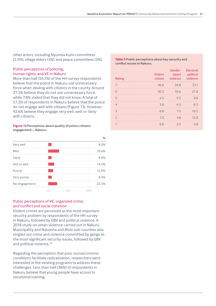<span id="page-20-0"></span>other actors, including Nyumba Kumi committees (2.5%), village elders (3%), and peace committees (3%).

#### Public perceptions of policing, human rights, and VE in Nakuru

More than half (55.1%) of the HH survey respondents believe that the police in Nakuru use unnecessary force when dealing with citizens in the county. Around 37.3% believe they do not use unnecessary force, while 7.8% stated that they did not know. A total of 57.3% of respondents in Nakuru believe that the police do not engage well with citizens (Figure 13). However, 42.6% believe they engage *very well*, *well*, or *fairly* with citizens.

**Figure 13 Perceptions about quality of police-citizens engagement—Nakuru.**

|               |       |     | $\%$  |
|---------------|-------|-----|-------|
| Very well     |       |     | 8.0%  |
| Well          |       |     | 26.6% |
| Fairly        |       |     | 8.0%  |
| Not so well   |       |     | 14.5% |
| Poorly        |       |     | 12.0% |
| Very poorly   |       |     | 8.5%  |
| No engagement |       |     | 22.3% |
|               | $0\%$ | 50% | 100%  |

#### Public perceptions of VE, organized crime, and conflict and social cohesion

Violent crimes are perceived as the most important security problem by respondents of the HH survey in Nakuru, followed by GBV and political violence. A 2018 study on urban violence carried out in Nakuru Municipality and Naivasha and Molo sub-counties also singled out crime and violence committed by gangs as the most significant security issues, followed by GBV and political violence.<sup>[26](#page-27-0)</sup>

Regarding the perception that poor socioeconomic conditions facilitate radicalization, researchers were interested in the existing programs to address these challenges. Less than half (38%) of respondents in Nakuru believe that young people have access to vocational training.

**Table 5 Public perceptions about key security and conflict issues in Nakuru.**

| Rating         | Violent<br>crimes | Gender-<br>based<br>violence | Electoral<br>political<br>violence |
|----------------|-------------------|------------------------------|------------------------------------|
| 7              | 46.6              | 34.8                         | 27.1                               |
| 6              | 30.3              | 35.6                         | 21.8                               |
| 5              | 4.5               | 5.5                          | 9.8                                |
| $\overline{4}$ | 3.8               | 4.3                          | 8.3                                |
| 3              | 6.8               | 7.5                          | 16.5                               |
| $\mathcal{P}$  | 7.3               | 9.8                          | 12.8                               |
|                | 0.8               | 2.5                          | 3.8                                |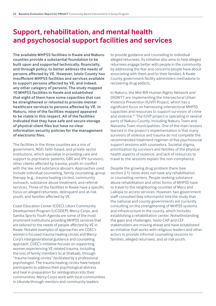## <span id="page-21-0"></span>**Support, rehabilitation, and mental health and psychosocial support facilities and services**

**The available MHPSS facilities in Kwale and Nakuru counties provide a substantial foundation to be built upon and supported technically, financially, and through policy, to better address the needs of persons affected by VE. However, Isiolo County has insufficient MHPSS facilities and services available to support persons affected by VE, and indeed, any other category of persons. The study mapped 10 MHPSS facilities in Kwale and established that eight of them have some capacities that can be strengthened or retooled to provide mental healthcare services to persons affected by VE. In Nakuru, nine of the facilities mapped appeared to be viable in this respect. All of the facilities indicated that they have safe and secure storage of physical client files but have no clear information security policies for the management of electronic files.**

The facilities in the three counties are a mix of government, NGO, faith-based, and private sector institutions, which specialize in providing care and support to psychiatric patients, GBV and IPV survivors, other clients affected by trauma, youth-in-conflict with the law, and substance abusers. Approaches used include individual counseling, family counseling, group therapy (e.g., trauma healing circles), community outreach, substance abuse treatment, and referral services. Three of the facilities in Kwale have a specific focus on alleged returnees, delinquent and at-risk youth, and families affected by VE.

Coast Education Center (COEC), Likoni Community Development Program (LICODEP), Mercy Corps, and Samba Sports Youth Agenda are some of the most prominent institutions providing MHPSS services that are tailored to the needs of people affected by VE in Kwale. Notable examples of approaches are COEC's women's focused trauma healing circles and Mercy Corp's intergenerational guidance and counseling approach. COEC's initiative focuses on supporting women experiencing VE-related trauma, including the loss of family members to al-Shabaab, through "trauma healing circles" facilitated by a professional psychologist. The trauma healing circles have helped participants to address their psychological distress and heal in preparation for reintegration into their communities. Mercy Corps work with local communities in Ukunda through mentors and community leaders

to provide guidance and counseling to individual alleged returnees. Its initiative also aims to help alleged returnees engage better with people in the community by addressing the fear and concerns people have about associating with them and/or their families. A Kwale County government facility administers methadone to recovering drug addicts.

In Nakuru, the Mid-Rift Human Rights Network and DIGNITY are implementing the Intersectoral Urban Violence Prevention (IUVP) Project, which has a significant focus on harnessing intersectoral MHPSS capacities and resources to support survivors of crime and violence.<sup>27</sup> The IUVP project is operating in several parts of Nakuru County, including Nakuru Town and Naivasha Town municipalities. One of the main lessons learned in the project's implementation is that many survivors of violence and trauma do not complete the recommended treatment regimen of five psychosocial support sessions with counselors. Societal stigma, prioritization by survivors and families of the physical health aspects of violence, and lack of resources to travel to the sessions explain the non-compliance.

Despite the growing drug problem there (see section 2.1), Isiolo does not have any rehabilitation or counseling centers. People seeking substance abuse rehabilitation and other forms of MHPSS have to travel to the neighboring counties of Meru and Laikipia to access services. However, two government staff consulted (key informants) told the study that the national and county governments are currently consulting on the strengthening of MHPSS systems and infrastructure in the county, which includes establishing a rehabilitation center. Notwithstanding the gaps and challenges, Isiolo CAP and CEF stakeholders are moving ahead and have established an initiative that works with religious leaders and other actors to provide informal counseling sessions to families, alleged returnees, and at-risk youth.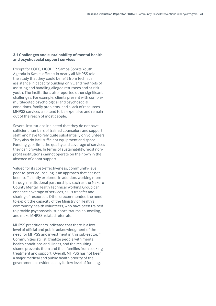#### <span id="page-22-0"></span>**3.1 Challenges and sustainability of mental health and psychosocial support services**

Except for COEC, LICODEP, Samba Sports Youth Agenda in Kwale, officials in nearly all MHPSS told the study that they could benefit from technical assistance in capacity building on VE and methods of assisting and handling alleged returnees and at-risk youth. The institutions also reported other significant challenges. For example, clients present with complex, multifaceted psychological and psychosocial conditions, family problems, and a lack of resources. MHPSS services also tend to be expensive and remain out of the reach of most people.

Several institutions indicated that they do not have sufficient numbers of trained counselors and support staff, and have to rely quite substantially on volunteers. They also do lack sufficient equipment and space. Funding gaps limit the quality and coverage of services they can provide. In terms of sustainability, most nonprofit institutions cannot operate on their own in the absence of donor support.

Valued for its cost-effectiveness, community-level peer-to-peer counseling is an approach that has not been sufficiently explored. In addition, working more through institutional partnerships, such as the Nakuru County Mental Health Technical Working Group can enhance coverage of services, skills transfer and sharing of resources. Others recommended the need to exploit the capacity of the Ministry of Health's community health volunteers, who have been trained to provide psychosocial support, trauma counseling, and make MHPSS-related referrals.

MHPSS practitioners indicated that there is a low level of official and public acknowledgment of the need for MHPSS and investment in this sub-sector.<sup>28</sup> Communities still stigmatize people with mental health conditions and illness, and the resulting shame prevents them and their families from seeking treatment and support. Overall, MHPSS has not been a major medical and public health priority of the government as evidenced by its low level of funding.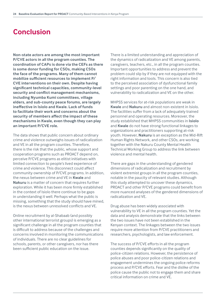## **Conclusion**

**Non-state actors are among the most important P/CVE actors in all the program counties. The coordination of CAPs is done via the CEFs as there is some donor funding for CSOs, making CSOs the face of the programs. Many of them cannot mobilize sufficient resources to implement P/ CVE interventions on their own. Despite having significant technical capacities, community-level security and conflict management mechanisms, including Nyumba Kumi committees, village elders, and sub-county peace forums, are largely ineffective in Isiolo and Kwale. Lack of funds to facilitate their work and concerns about the security of members affect the impact of these mechanisms in Kwale, even though they can play an important P/CVE role.** 

The data shows that public concern about ordinary crime and violence outweighs issues of radicalization and VE in all the program counties. Therefore, there is the risk that the public, whose support and cooperation programs such as PROACT depend on, perceive P/CVE programs as elitist initiatives with limited connection to people's lived experience of crime and violence. This disconnect could affect community ownership of P/CVE programs. In addition, the nexus between crime and VE in **Kwale** and **Nakuru** is a matter of concern that requires further exploration. While it has been more firmly established in the context of Isiolo there continue to be gaps in understanding it well. Perhaps what the public is missing, something that the study should have mined, is the nexus between unresolved conflicts and VE.

Online recruitment by al-Shabaab (and possibly other international terrorist groups) is emerging as a significant challenge in all the program counties that is difficult to address because of the challenges and concerns involved in monitoring the communications of individuals. There are no clear guidelines for schools, parents, or other caregivers, nor has there been sufficient public education on the issue.

There is a limited understanding and appreciation of the dynamics of radicalization and VE among parents, caregivers, teachers, etc., in all the program counties. Important opportunities to address and prevent the problem could slip by if they are not equipped with the right information and tools. This concern is also tied to the perceived association of dysfunctional family settings and poor parenting on the one hand, and vulnerability to radicalization and VE on the other.

MHPSS services for at-risk populations are weak in **Kwale** and **Nakuru** and almost non-existent in Isiolo. The facilities suffer from a lack of adequately trained personnel and operating resources. Moreover, the study established that MHPSS communities in **Isiolo** and **Kwale** do not have strong functional linkages to organizations and practitioners supporting at-risk youth. However, **Nakuru** is an exception as the Mid-Rift Human Rights Network, and other CSOs, are working together with the Nakuru County Mental Health Technical Working Group to address the link between violence and mental health.

There are gaps in the understanding of gendered dimensions of radicalization and recruitment by violent extremist groups in all the program counties, notable in the paucity of relevant studies. Although this study attempted to uncover these dynamics, PROACT and other P/CVE programs could benefit from more nuanced analyses of the gendered dimensions of radicalization and VE.

Drug abuse has been widely associated with vulnerability to VE in all the program counties. Yet the data and analysis demonstrate that the links between the two issues have not been established in the Kenyan context. The linkages between the two issues require more attention from P/CVE practitioners and researchers, psychologists, and law enforcement.

The success of P/CVE efforts in all the program counties depends significantly on the quality of police-citizen relations. However, the persistence of police abuses and poor police-citizen relations and engagement undermines the ongoing police reforms process and P/CVE efforts. Fear and the dislike of the police cause the public not to engage them and share critical information on crime and VE.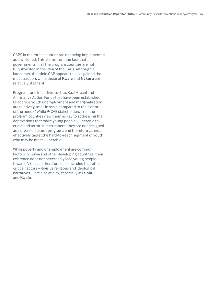<span id="page-24-0"></span>CAPS in the three counties are not being implemented as envisioned. This stems from the fact that governments in all the program counties are not fully invested in the idea of the CAPs. Although a latecomer, the Isiolo CAP appears to have gained the most traction, while those of **Kwale** and **Nakuru** are relatively stagnant.

Programs and initiatives such as Kazi Mtaani and Affirmative Action Funds that have been established to address youth unemployment and marginalization are relatively small in scale compared to the extent of the need.[29](#page-27-0) While P/CVE stakeholders in all the program counties view them as key to addressing the deprivations that make young people vulnerable to crime and terrorist recruitment, they are not designed as a diversion or exit programs and therefore cannot effectively target the hard-to-reach segment of youth who may be most vulnerable.

While poverty and unemployment are common factors in Kenya and other developing countries, their existence does not necessarily lead young people towards VE. It can therefore be concluded that other critical factors – divisive religious and ideological narratives—are also at play, especially in **Isiolo** and **Kwale**.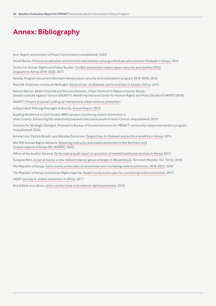# **Annex: Bibliography**

Act!, Report-assessment of Peace Committees (unpublished), 2020.

Anneli Botha, [Political socialization and terrorist radicalization among individuals who joined al-Shabaab in Kenya,](https://www.tandfonline.com/doi/abs/10.1080/1057610X.2014.952511?journalCode=uter20) 2014.

Centre for Human Rights and Policy Studies, [Conflict assessment report: peace security and stability \(PSS\)](https://www.chrips.or.ke/chrips/conflict-assessment-report-2017-peace-security-and-stability-pss-programme-kenya-2016-2020/)  [programme-Kenya 2016-2020](https://www.chrips.or.ke/chrips/conflict-assessment-report-2017-peace-security-and-stability-pss-programme-kenya-2016-2020/), 2017.

Danida, Program document Denmark-Kenya peace, security and stabilization program 2016-2020, 2016.

David M. Anderson, and Jacob McKnight, [Kenya at war: Al-Shabaab and its enemies in Eastern Africa](https://www.semanticscholar.org/paper/Kenya-at-war%3A-Al-Shabaab-and-its-enemies-in-Eastern-Anderson-McKnight/4ac2fcc933b17ea556fc7d7418b33380e660a691), 2015.

Kamau Wairuri, Ahlam Chemlali and Mutuma Ruteree, Urban Violence in Nakuru County, Kenya, Danish Institute Against Torture (DIGNITY), Midrift Hurinet and Centre for Human Rights and Policy Studies (CHRIPS) (2018).

DIGNITY, [Project proposal: scaling up intersectoral urban violence prevention](https://www.dignity.dk/en/dignitys-work/prevention-of-urban-violence/intersectoral-urban-violence-prevention/)

Independent Policing Oversight Authority, [Annual Report 2019](http://www.ipoa.go.ke/wp-content/uploads/2021/02/IPOA-Annual-Report-2018-2019-Web.pdf).

Building Resilience in Civil Society (BRIC) project countering violent extremism in Isiolo County: Enhancing the relationship between the police youth in Isiolo Central, (unpublished) 2019.

Institute for Strategic Dialogue, Proposal to Bureau of Counterterrorism for PROACT community-based intervention program, (unpublished) 2020.

Jeremy Lind, Patrick Mutahi, and Marjoke Oosterom, [Tangled ties: Al-Shabaab and political volatility in Kenya](https://www.semanticscholar.org/paper/Tangled-Ties%3A-Al-Shabaab-and-Political-Volatility-Lind-Mutahi/c0ade2f975eb8ffef7954a146eb9ce19956be194), 2015.

Mid-Rift Human Rights Network, [Reducing insecurity and violent extremism in the Northern and](https://midrifthurinet.org/reinvent/) [Coastal regions of Kenya \(RE-INVENT\)](https://midrifthurinet.org/reinvent/), 2020.

Office of the Auditor General, [Performance audit report on provision of mental healthcare services in Kenya,](https://www.oagkenya.go.ke/wp-content/uploads/2021/09/provision-of-mental-healthcare-services-in-Kenya-2017.pdf) 2017.

Sunguta West, [Ansar al-Sunna: a new militant Islamist group emerges in Mozambique](https://jamestown.org/program/ansar-al-sunna-a-new-militant-islamist-group-emerges-in-mozambique/), Terrorism Monitor, Vol. 16(12), 2018.

The Republic of Kenya, [Isiolo county action plan on prevention and countering violent extremism, 2018-2022,](https://strongcitiesnetwork.org/en/wp-content/uploads/sites/5/2019/08/CLEAN-ISIOLO_COUNTY_CVE_ACTION_PLAN.pdf) 2018.

The Republic of Kenya and Human Rights Agenda, [Kwale County action plan for countering violent extremism,](https://huria.ngo/sdm_downloads/kwale-county-action-plan-february-2017/) 2017.

UNDP, [Journey to violent extremism in Africa,](http://journey-to-extremism.undp.org/) 2017.

World Bank and others, [Isiolo county crime and violence rapid assessment](https://documents1.worldbank.org/curated/ar/915441587725684244/pdf/Isiolo-County-Crime-and-Violence-Rapid-Assessment.pdf), 2019.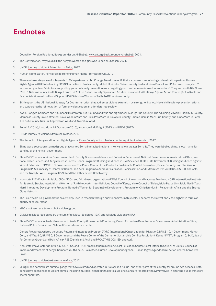## <span id="page-26-0"></span>**Endnotes**

- 1 Council on Foreign Relations, Backgrounder on Al-Shabab, [www.cfr.org/backgrounder/al-shabab](C:\Users\dpkalya\AppData\Local\Microsoft\Windows\INetCache\Content.Outlook\QS9324JM\www.cfr.org\backgrounder\al-shabab), 2021.
- [2](#page-6-0) The Conversation, [Why we did it: the Kenyan women and girls who joined al-Shabaab](https://theconversation.com/why-we-did-it-the-kenyan-women-and-girls-who-joined-al-shabaab-151592), 2021.
- [3](#page-6-0) UNDP, [Journey to Violent Extremism in Africa,](http://journey-to-extremism.undp.org/) 2017.
- [4](#page-6-0) Human Rights Watch, [Kenya Fails to Honor Human Rights Promises to UN](https://www.hrw.org/news/2019/07/25/kenya-fails-honor-human-rights-promises-un), 2019.
- [5](#page-6-0) There are two categories of sub-grants. 1. Main partners i.e. Act Change Transform (Act!) that is a research, monitoring and evaluation partner; Human Rights Agenda (HURIA) – leading PROACT activities in Kwale county; Midrift Hurinet – Nakuru county lead and Isiolo Peace Link (IPL) – Isiolo county led. 2. Innovation grantees (six in total supporting grassroots early prevention work targeting youth and women-focused interventions). They are: Youth Bila Noma (YBN) & Nakuru County Youth Bunge Forum (NCYBF) in Nakuru county; Sponsored Arts For Education (SAFE) Kenya & Jamii Action Centre (JAC) in Kwale and Pastoralists Women Livelihood Support (PWLS) & Isiolo Women of Faith (IWOF) in Isiolo county.
- [6](#page-6-0) SCN supports the US National Strategy for Counterterrorism that addresses violent extremism by strengthening local-level civil society prevention efforts and supporting the reintegration of former violent extremist offenders into society.
- [7](#page-9-0) Kwale: Bongwe-Gombato and Kibundani (Msambweni Sub-County) and Waa and Ng'ombeni (Matuga Sub-County). The adjoining Maweni-Likoni Sub-County, Mombasa County is also affected. Isiolo: Wabera Ward and Bulla Pesa Ward in Isiolo Sub-County, Cherab Ward in Merti Sub-County, and Kinna Ward in Garba Tula Sub-County. Nakuru: Kaptembwo Ward and Kivumbini Ward.
- [8](#page-11-0) Anneli B. (2014), Lind, Mutahi & Oosterom (2015), Anderson & McKnight (2015) and UNDP (2017).
- [9](#page-13-0) UNDP, [Journey to violent extremism in Africa,](https://journey-to-extremism.undp.org/) 2017.
- [10](#page-13-0) The Republic of Kenya and Human Rights Agenda, [Kwale County action plan for countering violent extremism,](https://huria.ngo/sdm_downloads/kwale-county-action-plan-february-2017/) 2017.
- [11](#page-14-0) Shifta was a secessionist armed group that wanted Somali-inhabited regions in Kenya to join greater Somalia. They were labelled shifta, a local name for bandits, by the Kenyan government.
- [12](#page-14-0) State P/CVE actors in Isiolo. Government: Isiolo County Government-Peace and Cohesion Department, National Government Administration Office, National Police Service, and Kenya Defense Forces. Donor Programs: Building Resilience in Civil Societies (BRICS) ( UK Government, Building Resilience against Violent Extremism (BRAVE) (US Government and The Peace Center of the Center for Sustainable Conflict Resolution), Peace, Security, and Stabilization Program (PSS) (Embassy of Denmark/Danida, and Act!) Program to Address Polarization, Radicalization, and Extremism (PROACT) (USDOS, ISD, and Act!), and the Niwajibu Wetu Program (USAID and DAI). Other actors: British Army.
- [13](#page-15-0) Non-state P/CVE actors in Isiolo. CBOs, NGOs, and faith-based organizations (FBOs): Council of Imams and Madrassa Teachers, HORN International Institute for Strategic Studies, Interfaith and Women of Faith Networks, Inter-Religious Council of Kenya, Isiolo Council of Elders, Isiolo Peace Link, Isiolo Nasib Youth Merti, Integrated Development Program, Nomadic Women for Sustainable Development, Program for Christian-Muslim Relations in Africa, and the Strong Cities Network.
- 14 The Likert scale is a psychometric scale widely used in research through questionnaires. In this scale, 1 denotes the lowest and 7 the highest in terms of priority or causal factor.
- [15](#page-16-0) MRC is not seen as a terrorist but a violent group.
- [16](#page-16-0) Divisive religious ideologies are the sum of religious ideologies (19%) and religious divisions (6.5%).
- [17](#page-16-0) State P/CVE actors in Kwale. Government: Kwale County Government-Countering Violent Extremism Desk, National Government Administration Office, National Police Service, and National Counterterrorism Center.

Donors Programs: Assisted Voluntary Return and Integration Program (AVRI) (International Organization for Migration), BRICS II (UK Government, Mercy-Corp, and Wasafiri), BRAVE (US Government and the Peace Center of the Center for Sustainable Conflict Resolution), Kenya NIWETU Program (USAID, Search for Common Ground, and Haki Africa), PSS (Danida and Act!), and PROACT (USDOS, ISD, and Act!).

- [18](#page-17-0) Non-state P/CVE actors in Kwale. CBOs, NGOs, and FBOs: Amadia Muslim Mission, Coast Education Center, Coast Interfaith Council of Clerics, Council of Imams and Preachers of Kenya, Gombato Youth Focus, Haki Africa, Human Development Agenda, Human Rights Agenda, Jamii Action Center, Kenya Red Cross.
- [19](#page-17-0) UNDP, [Journey to violent extremism in Africa,](http://journey-to-extremism.undp.org/) 2017.
- [20](#page-18-0) Mungiki and Kamjesh are criminal gangs that have existed and operated in Nairobi and Nakuru and other parts of the country for around two decades. Both gangs have been linked to violent crimes, including murders, kidnappings, political violence, and are reportedly heavily involved in extorting public transport sector operators.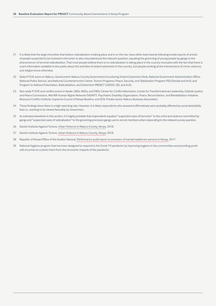- <span id="page-27-0"></span>[21](#page-18-0) It is likely that the large minorities that believe radicalization is taking place and is on the rise, have either been keenly following media reports of arrests of people suspected to be involved in terrorism or also misunderstood the relevant question, equating the grooming of young people by gangs to the phenomenon of terrorist radicalization. That most people believe there is no radicalization is taking place in the country resonates with the fact that there is scant information available to the public about the activities of violent extremists in the country, but people working at the intersections of crime, violence, and religion know otherwise.
- [22](#page-19-0) State P/CVE actors in Nakuru. Government: Nakuru County Government-Countering Violent Extremism Desk, National Government Administration Office, National Police Service, and National Counterterrorism Center. Donors Programs: Peace, Security, and Stabilization Program-PSS (Danida and Act!), and Program to Address Polarization, Radicalization, and Extremism-PROACT (USDOS, ISD, and Act!).
- [23](#page-19-0) Non-state P/CVE and conflict actors in Kwale. CBOs, NGOs, and FBOs: Center for Conflict Resolution, Center for Transformational Leadership, Catholic Justice and Peace Commission, Mid-Rift Human Rights Network/DIGNITY, Psychiatric Disability Organization, Peace, Reconciliation, and Rehabilitation Initiative, Resource Conflict Institute, Supreme Council of Kenya Muslims, and SCN. Private sector: Nakuru Business Association.
- [24](#page-19-0) These findings show there is a high reporting rate. However, it is likely respondents who answered affirmatively were probably affected by social desirability bias i.e., wanting to be viewed favorably by researchers.
- [25](#page-19-0) As indicated elsewhere in this section, it is highly probable that respondents equated "suspected cases of terrorism" to the crime and violence committed by gangs and "suspected cases of radicalization" to the grooming processes gangs use to recruit members when responding to the relevant survey question.
- [26](#page-20-0) Danish Institute Against Torture, [Urban Violence in Nakuru County, Kenya](https://www.dignity.dk/wp-content/uploads/pubseries_no16.pdf  ), 2018.
- [27](#page-21-0) Danish Institute Against Torture, [Urban Violence in Nakuru County, Kenya](https://www.dignity.dk/wp-content/uploads/pubseries_no16.pdf  ), 2018.
- [28](#page-22-0) Republic of Kenya/Office of the Auditor General, [Performance audit report on provision of mental healthcare services in Kenya,](https://www.oagkenya.go.ke/wp-content/uploads/2021/09/provision-of-mental-healthcare-services-in-Kenya-2017.pdf) 2017.
- [29](#page-24-0) National Hygiene program that has been designed to respond to the Covid-19 pandemic by improving hygiene in the communities and providing youth with incomes to cushion them from the economic impacts of the pandemic.